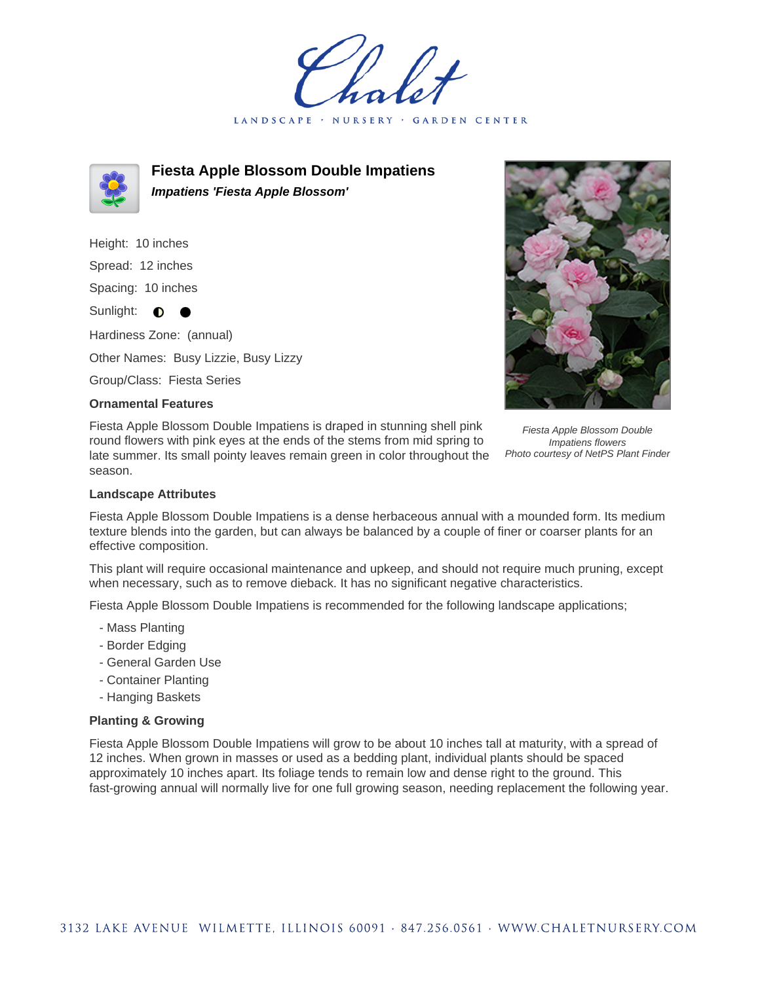LANDSCAPE · NURSERY **GARDEN CENTER** 



**Fiesta Apple Blossom Double Impatiens Impatiens 'Fiesta Apple Blossom'**

Height: 10 inches Spread: 12 inches Spacing: 10 inches Sunlight:  $\bullet$ Hardiness Zone: (annual) Other Names: Busy Lizzie, Busy Lizzy

Group/Class: Fiesta Series

## **Ornamental Features**

Fiesta Apple Blossom Double Impatiens is draped in stunning shell pink round flowers with pink eyes at the ends of the stems from mid spring to late summer. Its small pointy leaves remain green in color throughout the season.

## **Landscape Attributes**

Fiesta Apple Blossom Double Impatiens is a dense herbaceous annual with a mounded form. Its medium texture blends into the garden, but can always be balanced by a couple of finer or coarser plants for an effective composition.

This plant will require occasional maintenance and upkeep, and should not require much pruning, except when necessary, such as to remove dieback. It has no significant negative characteristics.

Fiesta Apple Blossom Double Impatiens is recommended for the following landscape applications;

- Mass Planting
- Border Edging
- General Garden Use
- Container Planting
- Hanging Baskets

## **Planting & Growing**

Fiesta Apple Blossom Double Impatiens will grow to be about 10 inches tall at maturity, with a spread of 12 inches. When grown in masses or used as a bedding plant, individual plants should be spaced approximately 10 inches apart. Its foliage tends to remain low and dense right to the ground. This fast-growing annual will normally live for one full growing season, needing replacement the following year.